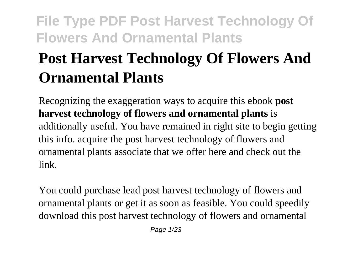# **Post Harvest Technology Of Flowers And Ornamental Plants**

Recognizing the exaggeration ways to acquire this ebook **post harvest technology of flowers and ornamental plants** is additionally useful. You have remained in right site to begin getting this info. acquire the post harvest technology of flowers and ornamental plants associate that we offer here and check out the link.

You could purchase lead post harvest technology of flowers and ornamental plants or get it as soon as feasible. You could speedily download this post harvest technology of flowers and ornamental

Page 1/23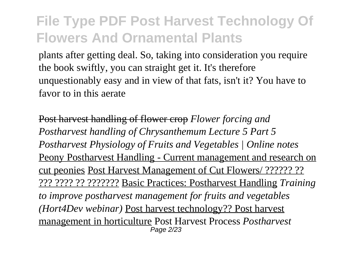plants after getting deal. So, taking into consideration you require the book swiftly, you can straight get it. It's therefore unquestionably easy and in view of that fats, isn't it? You have to favor to in this aerate

Post harvest handling of flower crop *Flower forcing and Postharvest handling of Chrysanthemum Lecture 5 Part 5 Postharvest Physiology of Fruits and Vegetables | Online notes* Peony Postharvest Handling - Current management and research on cut peonies Post Harvest Management of Cut Flowers/ ?????? ?? ??? ???? ?? ??????? Basic Practices: Postharvest Handling *Training to improve postharvest management for fruits and vegetables (Hort4Dev webinar)* Post harvest technology?? Post harvest management in horticulture Post Harvest Process *Postharvest* Page 2/23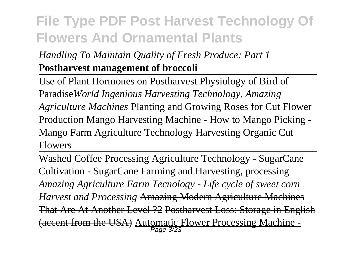#### *Handling To Maintain Quality of Fresh Produce: Part 1* **Postharvest management of broccoli**

Use of Plant Hormones on Postharvest Physiology of Bird of Paradise*World Ingenious Harvesting Technology, Amazing Agriculture Machines* Planting and Growing Roses for Cut Flower Production Mango Harvesting Machine - How to Mango Picking - Mango Farm Agriculture Technology Harvesting Organic Cut Flowers

Washed Coffee Processing Agriculture Technology - SugarCane Cultivation - SugarCane Farming and Harvesting, processing *Amazing Agriculture Farm Tecnology - Life cycle of sweet corn Harvest and Processing* Amazing Modern Agriculture Machines That Are At Another Level ?2 Postharvest Loss: Storage in English (accent from the USA) Automatic Flower Processing Machine -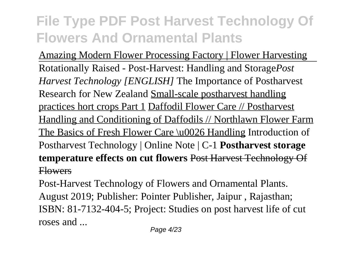Amazing Modern Flower Processing Factory | Flower Harvesting Rotationally Raised - Post-Harvest: Handling and Storage*Post Harvest Technology [ENGLISH]* The Importance of Postharvest Research for New Zealand Small-scale postharvest handling practices hort crops Part 1 Daffodil Flower Care // Postharvest Handling and Conditioning of Daffodils // Northlawn Flower Farm The Basics of Fresh Flower Care \u0026 Handling Introduction of Postharvest Technology | Online Note | C-1 **Postharvest storage temperature effects on cut flowers** Post Harvest Technology Of Flowers

Post-Harvest Technology of Flowers and Ornamental Plants. August 2019; Publisher: Pointer Publisher, Jaipur , Rajasthan; ISBN: 81-7132-404-5; Project: Studies on post harvest life of cut roses and ...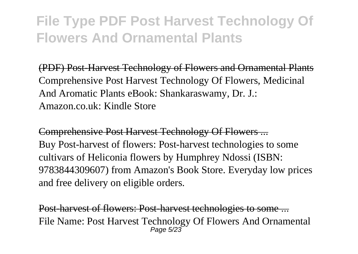(PDF) Post-Harvest Technology of Flowers and Ornamental Plants Comprehensive Post Harvest Technology Of Flowers, Medicinal And Aromatic Plants eBook: Shankaraswamy, Dr. J.: Amazon.co.uk: Kindle Store

Comprehensive Post Harvest Technology Of Flowers ... Buy Post-harvest of flowers: Post-harvest technologies to some cultivars of Heliconia flowers by Humphrey Ndossi (ISBN: 9783844309607) from Amazon's Book Store. Everyday low prices and free delivery on eligible orders.

Post-harvest of flowers: Post-harvest technologies to some ... File Name: Post Harvest Technology Of Flowers And Ornamental Page 5/23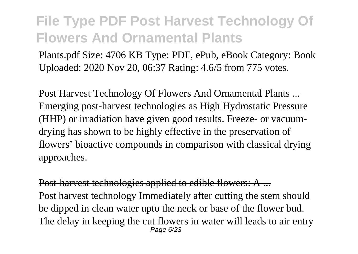Plants.pdf Size: 4706 KB Type: PDF, ePub, eBook Category: Book Uploaded: 2020 Nov 20, 06:37 Rating: 4.6/5 from 775 votes.

Post Harvest Technology Of Flowers And Ornamental Plants ... Emerging post-harvest technologies as High Hydrostatic Pressure (HHP) or irradiation have given good results. Freeze- or vacuumdrying has shown to be highly effective in the preservation of flowers' bioactive compounds in comparison with classical drying approaches.

Post-harvest technologies applied to edible flowers: A ... Post harvest technology Immediately after cutting the stem should be dipped in clean water upto the neck or base of the flower bud. The delay in keeping the cut flowers in water will leads to air entry Page 6/23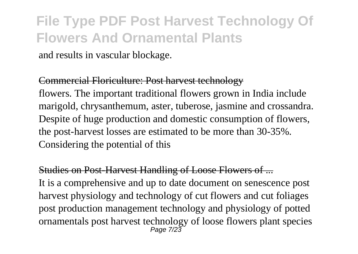and results in vascular blockage.

#### Commercial Floriculture: Post harvest technology

flowers. The important traditional flowers grown in India include marigold, chrysanthemum, aster, tuberose, jasmine and crossandra. Despite of huge production and domestic consumption of flowers, the post-harvest losses are estimated to be more than 30-35%. Considering the potential of this

#### Studies on Post-Harvest Handling of Loose Flowers of ...

It is a comprehensive and up to date document on senescence post harvest physiology and technology of cut flowers and cut foliages post production management technology and physiology of potted ornamentals post harvest technology of loose flowers plant species Page 7/23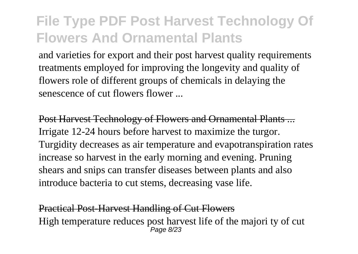and varieties for export and their post harvest quality requirements treatments employed for improving the longevity and quality of flowers role of different groups of chemicals in delaying the senescence of cut flowers flower ...

Post Harvest Technology of Flowers and Ornamental Plants ... Irrigate 12-24 hours before harvest to maximize the turgor. Turgidity decreases as air temperature and evapotranspiration rates increase so harvest in the early morning and evening. Pruning shears and snips can transfer diseases between plants and also introduce bacteria to cut stems, decreasing vase life.

Practical Post-Harvest Handling of Cut Flowers High temperature reduces post harvest life of the majori ty of cut Page 8/23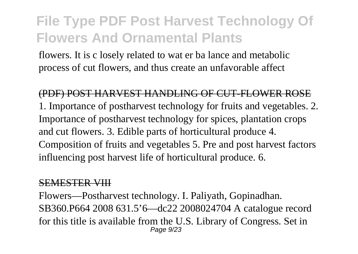flowers. It is c losely related to wat er ba lance and metabolic process of cut flowers, and thus create an unfavorable affect

(PDF) POST HARVEST HANDLING OF CUT-FLOWER ROSE 1. Importance of postharvest technology for fruits and vegetables. 2. Importance of postharvest technology for spices, plantation crops and cut flowers. 3. Edible parts of horticultural produce 4. Composition of fruits and vegetables 5. Pre and post harvest factors influencing post harvest life of horticultural produce. 6.

#### SEMESTER VIII

Flowers—Postharvest technology. I. Paliyath, Gopinadhan. SB360.P664 2008 631.5'6—dc22 2008024704 A catalogue record for this title is available from the U.S. Library of Congress. Set in Page 9/23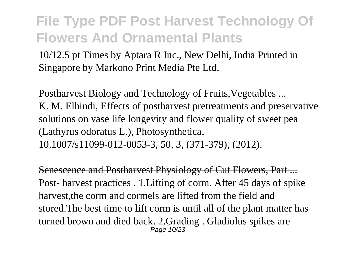10/12.5 pt Times by Aptara R Inc., New Delhi, India Printed in Singapore by Markono Print Media Pte Ltd.

Postharvest Biology and Technology of Fruits,Vegetables ... K. M. Elhindi, Effects of postharvest pretreatments and preservative solutions on vase life longevity and flower quality of sweet pea (Lathyrus odoratus L.), Photosynthetica, 10.1007/s11099-012-0053-3, 50, 3, (371-379), (2012).

Senescence and Postharvest Physiology of Cut Flowers, Part ... Post- harvest practices . 1.Lifting of corm. After 45 days of spike harvest,the corm and cormels are lifted from the field and stored.The best time to lift corm is until all of the plant matter has turned brown and died back. 2.Grading . Gladiolus spikes are Page 10/23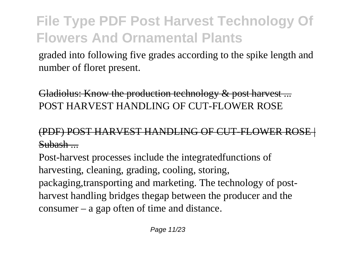graded into following five grades according to the spike length and number of floret present.

Gladiolus: Know the production technology & post harvest... POST HARVEST HANDLING OF CUT-FLOWER ROSE

#### (PDF) POST HARVEST HANDLING OF CUT-FLOWER ROSE | Subash ...

Post-harvest processes include the integratedfunctions of harvesting, cleaning, grading, cooling, storing, packaging,transporting and marketing. The technology of postharvest handling bridges thegap between the producer and the consumer – a gap often of time and distance.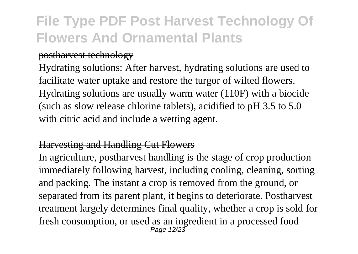#### postharvest technology

Hydrating solutions: After harvest, hydrating solutions are used to facilitate water uptake and restore the turgor of wilted flowers. Hydrating solutions are usually warm water (110F) with a biocide (such as slow release chlorine tablets), acidified to pH 3.5 to 5.0 with citric acid and include a wetting agent.

#### Harvesting and Handling Cut Flowers

In agriculture, postharvest handling is the stage of crop production immediately following harvest, including cooling, cleaning, sorting and packing. The instant a crop is removed from the ground, or separated from its parent plant, it begins to deteriorate. Postharvest treatment largely determines final quality, whether a crop is sold for fresh consumption, or used as an ingredient in a processed food Page 12/23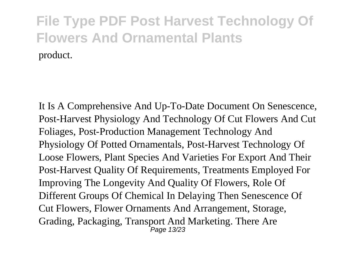It Is A Comprehensive And Up-To-Date Document On Senescence, Post-Harvest Physiology And Technology Of Cut Flowers And Cut Foliages, Post-Production Management Technology And Physiology Of Potted Ornamentals, Post-Harvest Technology Of Loose Flowers, Plant Species And Varieties For Export And Their Post-Harvest Quality Of Requirements, Treatments Employed For Improving The Longevity And Quality Of Flowers, Role Of Different Groups Of Chemical In Delaying Then Senescence Of Cut Flowers, Flower Ornaments And Arrangement, Storage, Grading, Packaging, Transport And Marketing. There Are Page 13/23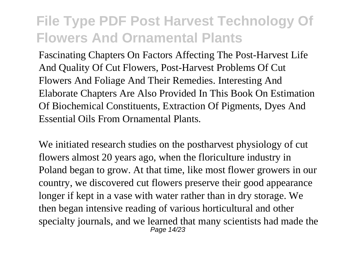Fascinating Chapters On Factors Affecting The Post-Harvest Life And Quality Of Cut Flowers, Post-Harvest Problems Of Cut Flowers And Foliage And Their Remedies. Interesting And Elaborate Chapters Are Also Provided In This Book On Estimation Of Biochemical Constituents, Extraction Of Pigments, Dyes And Essential Oils From Ornamental Plants.

We initiated research studies on the postharvest physiology of cut flowers almost 20 years ago, when the floriculture industry in Poland began to grow. At that time, like most flower growers in our country, we discovered cut flowers preserve their good appearance longer if kept in a vase with water rather than in dry storage. We then began intensive reading of various horticultural and other specialty journals, and we learned that many scientists had made the Page 14/23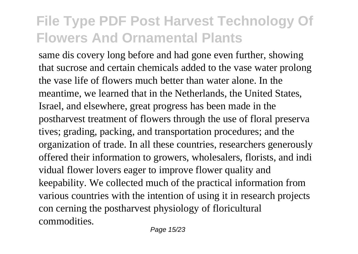same dis covery long before and had gone even further, showing that sucrose and certain chemicals added to the vase water prolong the vase life of flowers much better than water alone. In the meantime, we learned that in the Netherlands, the United States, Israel, and elsewhere, great progress has been made in the postharvest treatment of flowers through the use of floral preserva tives; grading, packing, and transportation procedures; and the organization of trade. In all these countries, researchers generously offered their information to growers, wholesalers, florists, and indi vidual flower lovers eager to improve flower quality and keepability. We collected much of the practical information from various countries with the intention of using it in research projects con cerning the postharvest physiology of floricultural commodities.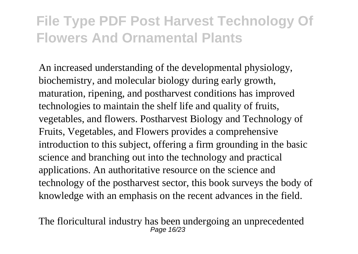An increased understanding of the developmental physiology, biochemistry, and molecular biology during early growth, maturation, ripening, and postharvest conditions has improved technologies to maintain the shelf life and quality of fruits, vegetables, and flowers. Postharvest Biology and Technology of Fruits, Vegetables, and Flowers provides a comprehensive introduction to this subject, offering a firm grounding in the basic science and branching out into the technology and practical applications. An authoritative resource on the science and technology of the postharvest sector, this book surveys the body of knowledge with an emphasis on the recent advances in the field.

The floricultural industry has been undergoing an unprecedented Page 16/23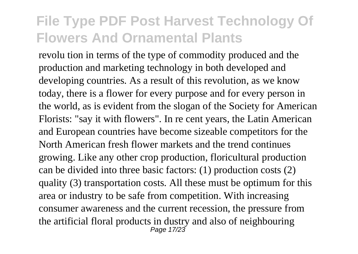revolu tion in terms of the type of commodity produced and the production and marketing technology in both developed and developing countries. As a result of this revolution, as we know today, there is a flower for every purpose and for every person in the world, as is evident from the slogan of the Society for American Florists: "say it with flowers". In re cent years, the Latin American and European countries have become sizeable competitors for the North American fresh flower markets and the trend continues growing. Like any other crop production, floricultural production can be divided into three basic factors: (1) production costs (2) quality (3) transportation costs. All these must be optimum for this area or industry to be safe from competition. With increasing consumer awareness and the current recession, the pressure from the artificial floral products in dustry and also of neighbouring Page 17/23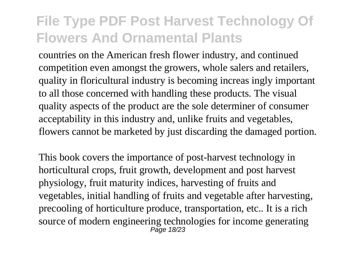countries on the American fresh flower industry, and continued competition even amongst the growers, whole salers and retailers, quality in floricultural industry is becoming increas ingly important to all those concerned with handling these products. The visual quality aspects of the product are the sole determiner of consumer acceptability in this industry and, unlike fruits and vegetables, flowers cannot be marketed by just discarding the damaged portion.

This book covers the importance of post-harvest technology in horticultural crops, fruit growth, development and post harvest physiology, fruit maturity indices, harvesting of fruits and vegetables, initial handling of fruits and vegetable after harvesting, precooling of horticulture produce, transportation, etc.. It is a rich source of modern engineering technologies for income generating Page 18/23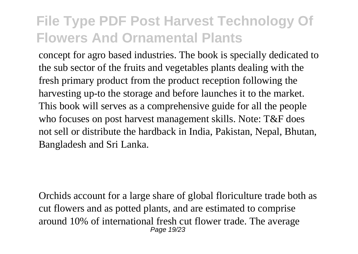concept for agro based industries. The book is specially dedicated to the sub sector of the fruits and vegetables plants dealing with the fresh primary product from the product reception following the harvesting up-to the storage and before launches it to the market. This book will serves as a comprehensive guide for all the people who focuses on post harvest management skills. Note: T&F does not sell or distribute the hardback in India, Pakistan, Nepal, Bhutan, Bangladesh and Sri Lanka.

Orchids account for a large share of global floriculture trade both as cut flowers and as potted plants, and are estimated to comprise around 10% of international fresh cut flower trade. The average Page 19/23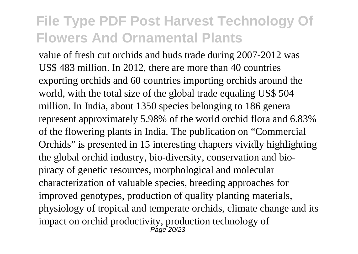value of fresh cut orchids and buds trade during 2007-2012 was US\$ 483 million. In 2012, there are more than 40 countries exporting orchids and 60 countries importing orchids around the world, with the total size of the global trade equaling US\$ 504 million. In India, about 1350 species belonging to 186 genera represent approximately 5.98% of the world orchid flora and 6.83% of the flowering plants in India. The publication on "Commercial Orchids" is presented in 15 interesting chapters vividly highlighting the global orchid industry, bio-diversity, conservation and biopiracy of genetic resources, morphological and molecular characterization of valuable species, breeding approaches for improved genotypes, production of quality planting materials, physiology of tropical and temperate orchids, climate change and its impact on orchid productivity, production technology of  $P$ age  $20/23$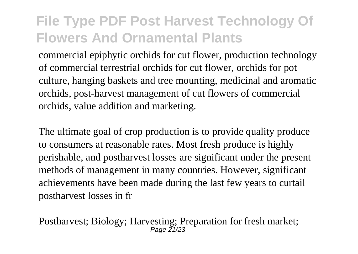commercial epiphytic orchids for cut flower, production technology of commercial terrestrial orchids for cut flower, orchids for pot culture, hanging baskets and tree mounting, medicinal and aromatic orchids, post-harvest management of cut flowers of commercial orchids, value addition and marketing.

The ultimate goal of crop production is to provide quality produce to consumers at reasonable rates. Most fresh produce is highly perishable, and postharvest losses are significant under the present methods of management in many countries. However, significant achievements have been made during the last few years to curtail postharvest losses in fr

Postharvest; Biology; Harvesting; Preparation for fresh market;<br>Page 21/23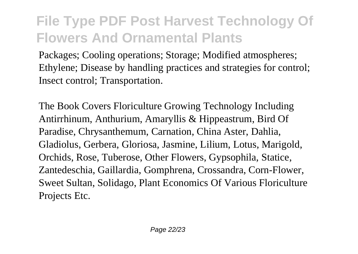Packages; Cooling operations; Storage; Modified atmospheres; Ethylene; Disease by handling practices and strategies for control; Insect control; Transportation.

The Book Covers Floriculture Growing Technology Including Antirrhinum, Anthurium, Amaryllis & Hippeastrum, Bird Of Paradise, Chrysanthemum, Carnation, China Aster, Dahlia, Gladiolus, Gerbera, Gloriosa, Jasmine, Lilium, Lotus, Marigold, Orchids, Rose, Tuberose, Other Flowers, Gypsophila, Statice, Zantedeschia, Gaillardia, Gomphrena, Crossandra, Corn-Flower, Sweet Sultan, Solidago, Plant Economics Of Various Floriculture Projects Etc.